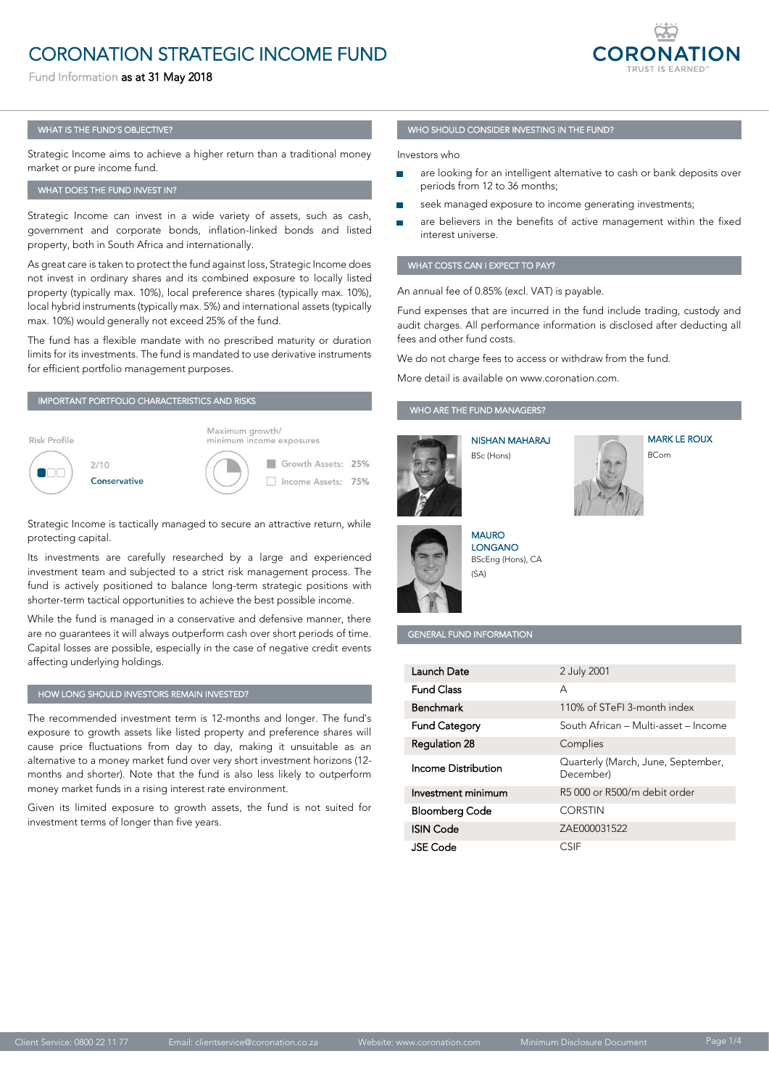# **CORONATION STRATEGIC INCOME FUND**

CORONATION STRATEGIC INCOMEDIATION STRATEGIC INCOMEDIATION STRATEGIC INCOMEDIATION STRATEGIC INCOMEDIATION STR<br>Eugenberg Fund Information as at 31 May 2018



#### WHAT IS THE FUND'S OBJECTIVE?

Strategic Income aims to achieve a higher return than a traditional money market or pure income fund. market or pure income fund.

### WHAT DOES THE FUND INVEST IN?

Strategic Income can invest in a wide variety of assets, such as cash, government and corporate bonds, inflation-linked bonds and listed government and corporate bonds, inflation-linked bonds and linked bonds and linked bonds and linked bonds and linked bonds and linked bonds and linked bonds and linked bonds and linked bonds and linked bonds and linked bo property, both in South Africa and internationally.

As great care is taken to protect the fund against loss, Strategic Income does not invest in ordinary shares and its combined exposure to locally listed property (typically max. 10%), local preference shares (typically max. 10%), local hybrid instruments (typically max. 5%) and international assets (typically local hybrid instruments (typically max. 5%) and international assets (typically max. 10%) would generally not exceed 25% of the fund.

The fund has a flexible mandate with no prescribed maturity or duration limits for its investments. The fund is mandated to use derivative instruments limits for its investments. The fund is mandated to use derivative instruments for efficient portfolio management purposes.

#### IMPORTANT PORTFOLIO CHARACTERISTICS AND RISKS



Strategic Income is tactically managed to secure an attractive return, while protecting capital.<br>Its investments are carefully researched by a large and experienced

investment team and subjected to a strict risk management process. The fund is actively positioned to balance long-term strategic positions with fund is actively position is actively position to balance long-term strategic positions with  $\frac{1}{2}$ shorter-term tactical opportunities to achieve the best possible income.

While the fund is managed in a conservative and defensive manner, there are no guarantees it will always outperform cash over short periods of time. are no guarantees it in always outperform cash over short periods of time.<br>Conital lasses are nossible, canocially in the case of nogetive credit events Capital losses are possible, especially in the case of negative credit events affecting underlying holdings.

#### HOW LONG SHOULD INVESTORS REMAIN INVESTED?

The recommended investment term is 12-months and longer. The fund's cause price fluctuations from day to day, making it unsuitable as an alternative to a money market fund over very short investment horizons (12months and shorter). Note that the fund is also less likely to outperform months and shorter). Note that the fund is also fire likely to outperform.<br>monal/molect funds in a sixing interest sets antisemport. money market funds in a rising interest rate environment.

 $G_{\text{in}}$  is discrete to growth as  $G_{\text{in}}$  is not suited for suitable fund is not suited for suitable for suitable for suitable for suitable for suitable for suitable for suitable for suitable for suitable for suitable investment terms of longer than five years.

#### WHO SHOULD CONSIDER INVESTING IN THE FUND?

Investors who

- are looking for an intelligent alternative to cash or bank deposits over
- seek managed exposure to income generating investments;
- are believers in the benefits of active management within the fixed interest universe.

## WHAT COSTS CAN I EXPECT TO PAY TO PAY?

An annual fee of 0.85% (excl. VAT) is payable.<br>Fund expenses that are incurred in the fund include trading, custody and Fund expenses that are incurred in the fund include trading, custody and audit charges. All performance information information is disclosed after deducting after deducting after deducting a

We do not charge fees to access or with discussions of withdraw from the fund.

### WHO ARE THE FUND MANAGERS?

BSc (Hons)



 $\overline{\phantom{a}}$ 

**NISHAN MAHARA I** 



MARK LE ROUX



LONGANO LONG HIS<br>P<sup>C</sup>eles (Hen  $\mathcal{B}$  (Hons), CA (Hons), CA (Hons), CA (Hons), CA (Hons), CA (Hons), CA (Hons), CA (Hons), CA (Hons), CA (Hons), CA (Hons), CA (Hons), CA (Hons), CA (Hons), CA (Hons), CA (Hons), CA (Hons), CA (Hons), CA (Hons), CA (Ho

#### GENERAL FUND INFORMATION

| Launch Date           | 2 July 2001                                     |
|-----------------------|-------------------------------------------------|
| <b>Fund Class</b>     | А                                               |
| <b>Benchmark</b>      | 110% of STeFL3-month index                      |
| <b>Fund Category</b>  | South African - Multi-asset - Income            |
| <b>Regulation 28</b>  | Complies                                        |
| Income Distribution   | Quarterly (March, June, September,<br>December) |
| Investment minimum    | R5000 or R500/m debit order                     |
| <b>Bloomberg Code</b> | <b>CORSTIN</b>                                  |
| <b>ISIN Code</b>      | ZAE000031522                                    |
| <b>JSE</b> Code       | <b>CSIF</b>                                     |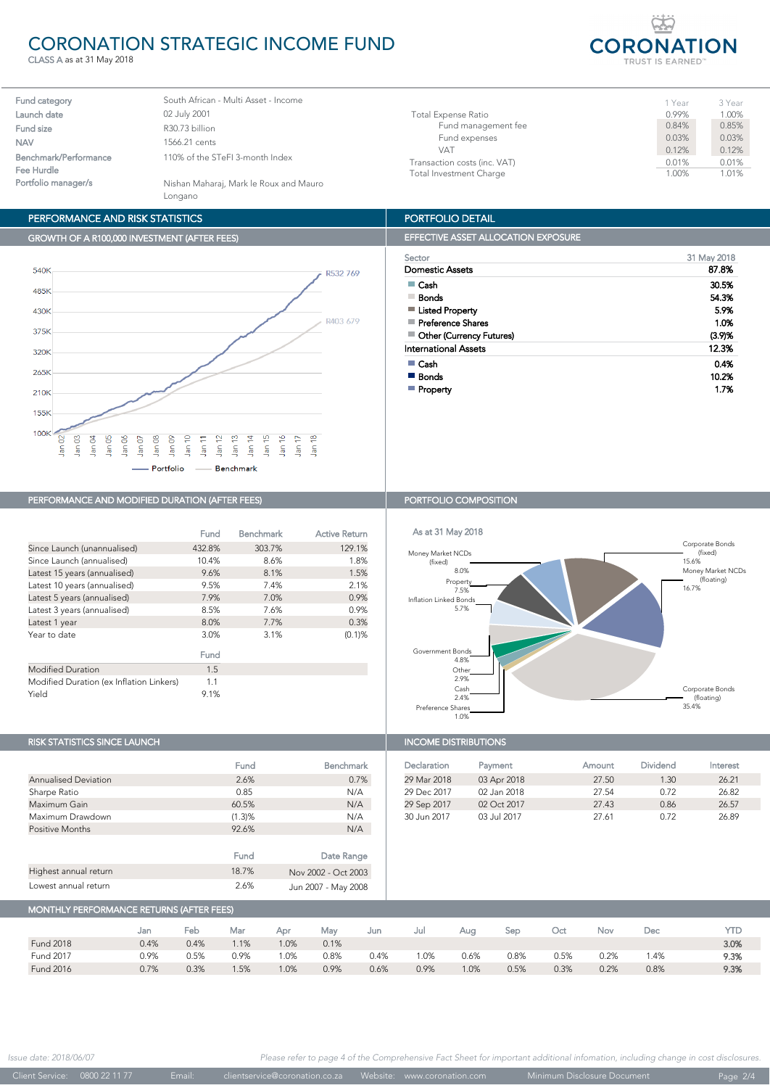# CORONATION STRATEGIC INCOME FUND

CLASS A as at 31 May 2018

| <b>CORONATION</b>                  |  |  |  |  |  |  |  |  |  |
|------------------------------------|--|--|--|--|--|--|--|--|--|
| <b>TRUST IS EARNED<sup>™</sup></b> |  |  |  |  |  |  |  |  |  |

1 Year 3 Year<br>0 99% 1 00%

| South African - Multi Asset - Income              |
|---------------------------------------------------|
| 02 July 2001                                      |
| R30.73 billion                                    |
| 1566.21 cents                                     |
| 110% of the STeFI 3-month Index                   |
| Nishan Maharaj, Mark le Roux and Mauro<br>Longano |
|                                                   |

## PERFORMANCE AND RISK STATISTICS

## GROWTH OF A R100,000 INVESTMENT (AFTER FEES)



## PERFORMANCE AND MODIFIED DURATION (AFTER FEES) PORTFOLIO COMPOSITION

|                                          | Fund   | <b>Benchmark</b> | <b>Active Return</b> |
|------------------------------------------|--------|------------------|----------------------|
| Since Launch (unannualised)              | 432.8% | 303.7%           | 129.1%               |
| Since Launch (annualised)                | 10.4%  | 8.6%             | 1.8%                 |
| Latest 15 years (annualised)             | 9.6%   | 8.1%             | 1.5%                 |
| Latest 10 years (annualised)             | 9.5%   | 7.4%             | 2.1%                 |
| Latest 5 years (annualised)              | 7.9%   | 7.0%             | 0.9%                 |
| Latest 3 years (annualised)              | 8.5%   | 7.6%             | 0.9%                 |
| Latest 1 year                            | 8.0%   | 7.7%             | 0.3%                 |
| Year to date                             | 3.0%   | 3.1%             | $(0.1)$ %            |
|                                          | Fund   |                  |                      |
| <b>Modified Duration</b>                 | 1.5    |                  |                      |
| Modified Duration (ex Inflation Linkers) | 1.1    |                  |                      |
| Yield                                    | 9.1%   |                  |                      |

# RISK STATISTICS SINCE LAUNCH

|                             | Fund   | Benchmark           |
|-----------------------------|--------|---------------------|
| <b>Annualised Deviation</b> | 2.6%   | 0.7%                |
| Sharpe Ratio                | 0.85   | N/A                 |
| Maximum Gain                | 60.5%  | N/A                 |
| Maximum Drawdown            | (1.3)% | N/A                 |
| <b>Positive Months</b>      | 92.6%  | N/A                 |
|                             |        |                     |
|                             | Fund   | Date Range          |
| Highest annual return       | 18.7%  | Nov 2002 - Oct 2003 |
| Lowest annual return        | 2.6%   | Jun 2007 - May 2008 |

#### PORTFOLIO DETAIL

Total Investment Charge

|  | <b>EFFECTIVE ASSET ALLOCATION EXPOSURE</b> |
|--|--------------------------------------------|
|--|--------------------------------------------|

Fund management fee.

| Sector                      | 31 May 2018 |
|-----------------------------|-------------|
| Domestic Assets             | 87.8%       |
| Cash                        | 30.5%       |
| Bonds                       | 54.3%       |
| <b>Listed Property</b>      | 5.9%        |
| Preference Shares           | 1.0%        |
| ■ Other (Currency Futures)  | (3.9)%      |
| <b>International Assets</b> | 12.3%       |
| $\blacksquare$ Cash         | 0.4%        |
| ■ Bonds                     | 10.2%       |
| Property                    | 1.7%        |

Total Expense Ratio 1.00% 1.00% 1.00% 1.00% 1.00% 1.00% 1.00% 1.00% 1.00% 1.00% 1.00% 1.00% 1.00% 1.00% 1.00% 1<br>Conservation 1.00% 1.00% 1.00% 1.00% 1.00% 1.00% 1.00% 1.00% 1.00% 1.00% 1.00% 1.00% 1.00% 1.00% 1.00% 1.00% 1

Fund expenses 0.03% 0.03% VAT 0.12% 0.12% Transaction costs (inc. VAT)  $\begin{array}{r} 0.01\% \ 0.01\% \end{array}$  0.01% 0.01%



| <b>INCOME DISTRIBUTIONS</b> |             |        |                 |          |  |  |  |  |  |
|-----------------------------|-------------|--------|-----------------|----------|--|--|--|--|--|
| Declaration                 | Payment     | Amount | <b>Dividend</b> | Interest |  |  |  |  |  |
| 29 Mar 2018                 | 03 Apr 2018 | 27.50  | 1.30            | 26.21    |  |  |  |  |  |
| 29 Dec 2017                 | 02 Jan 2018 | 27.54  | 0.72            | 26.82    |  |  |  |  |  |
| 29 Sep 2017                 | 02 Oct 2017 | 27.43  | 0.86            | 26.57    |  |  |  |  |  |
| 30 Jun 2017                 | 03 Jul 2017 | 27.61  | 0.72            | 26.89    |  |  |  |  |  |

# MONTHLY PERFORMANCE RETURNS (AFTER FEES)

|                  | Jan  | Feb  | Mar  | Apr  | Mav  | Jun  | Jul  | Aua  | Sep  | Oct  | Nov  | Dec  | YTD  |
|------------------|------|------|------|------|------|------|------|------|------|------|------|------|------|
| <b>Fund 2018</b> | 0.4% | 0.4% | 1.1% | 1.0% | 0.1% |      |      |      |      |      |      |      | 3.0% |
| <b>Fund 2017</b> | 0.9% | 0.5% | 0.9% | 1.0% | 0.8% | 0.4% | .0%  | 0.6% | 0.8% | 0.5% | 0.2% | . 4% | 9.3% |
| <b>Fund 2016</b> | 0.7% | 0.3% | 1.5% | 1.0% | 0.9% | 0.6% | 0.9% | 1.0% | 0.5% | 0.3% | 0.2% | 0.8% | 9.3% |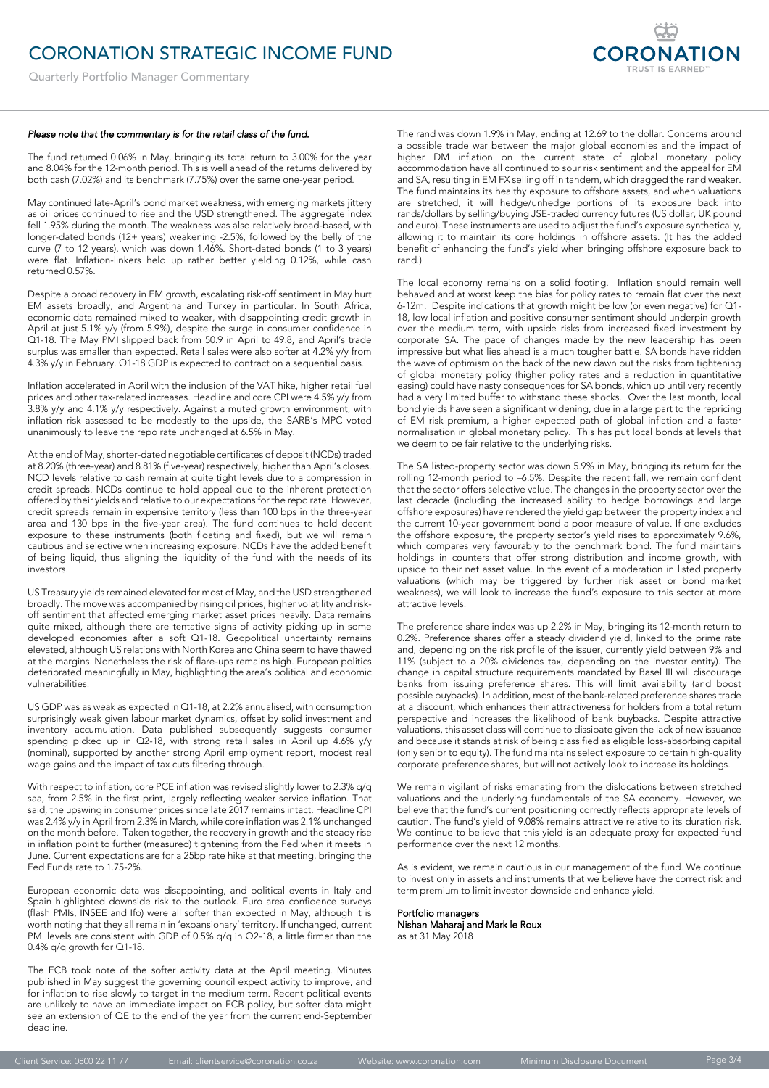Quarterly Portfolio Manager Commentary

#### *Please note that the commentary is for the retail class of the fund.*

The fund returned 0.06% in May, bringing its total return to 3.00% for the year and 8.04% for the 12-month period. This is well ahead of the returns delivered by and are not to the 12-month period. This is non-andered at the returns delivered by<br>both cash (7.02%) and its benchmark (7.75%) over the same one-vear period both cash (7.02%) and its benchmark (7.75%) over the same one-year period.

May continued late-April's bond market weakness, with emerging markets jittery as oil prices continued to rise and the USD strengthened. The aggregate index fell 1.95% during the month. The weakness was also relatively broad-based, with longer-dated bonds (12+ years) weakening -2.5%, followed by the belly of the curve (7 to 12 years), which was down 1.46%. Short-dated bonds (1 to 3 years) were flat Inflation-linkers held un rather hetter vielding 0.12%, while cash returned 0.57%, while the linkers held up to  $\frac{1}{2}$  and  $\frac{1}{2}$  cash  $\frac{1}{2}$  cash  $\frac{1}{2}$ returned 0.57%.

Despite a broad recovery in EM growth, escalating risk-off sentiment in May hurt economic data remained mixed to weaker, with disappointing credit growth in April at just 5.1% y/y (from 5.9%), despite the surge in consumer confidence in Q1-18. The May PMI slipped back from 50.9 in April to 49.8, and April's trade surplus was smaller than expected. Retail sales were also softer at 4.2% y/y from  $4.3\%$  v/v in February. Q1-18 GDP is expected to contract on a sequential basis.  $\frac{1}{2}$  y in February. Q1-18 GDP is expected to contract on a sequential basis.

Inflation accelerated in April with the inclusion of the VAT hike, higher retail fuel<br>prices and other tax-related increases. Headline and core CPI were 4.5% y/y from 3.8% y/y and 4.1% y/y respectively. Against a muted growth environment, with inflation risk assessed to be modestly to the upside, the SARB's MPC voted  $\frac{1}{2}$  in animalist to be we the reported inchanged at 6.5% in May unanimously to leave the repo rate unchanged at 6.5% in May.

At the end of May, shorter-dated negotiable certificates of deposit (NCDs) traded<br>at 8.20% (three-year) and 8.81% (five-year) respectively, higher than April's closes. NCD levels relative to cash remain at quite tight levels due to a compression in credit spreads. NCDs continue to hold appeal due to the inherent protection offered by their yields and relative to our expectations for the repo rate. However, credit spreads remain in expensive territory (less than 100 bps in the three-year area and 130 bps in the five-year area). The fund continues to hold decent exposure to these instruments (both floating and fixed), but we will remain cautious and selective when increasing exposure. NCDs have the added benefit of being liquid thus aligning the liquidity of the fund with the needs of its of being liquid, thus aligning the liquidity of the fund with the needs of its

US Treasury yields remained elevated for most of May, and the USD strengthened off sentiment that affected emerging market asset prices heavily. Data remains quite mixed, although there are tentative signs of activity picking up in some developed economies after a soft Q1-18. Geopolitical uncertainty remains elevated, although US relations with North Korea and China seem to have thawed at the margins. Nonetheless the risk of flare-ups remains high. European politics at the margins. Nonetheless the new comes the remains high. European politics.<br>deteriorated meaningfully in May, highlighting the area's political and economic determined meaning in May, highlight the area's political and economic the area's political and economic the a<br>International and economic the area's political and economic the area's political and economic the area's poli

US GDP was as weak as expected in Q1-18, at 2.2% annualised, with consumption surprisingly weak given labour market dynamics, offset by solid investment and inventory accumulation. Data published subsequently suggests consumer spending picked up in Q2-18, with strong retail sales in April up 4.6% y/y (nominal), supported by another strong April employment report, modest real (nominal), supported by another strong April employment report, modest real wage gains and the impact of tax cuts filtering through the impact of the impact of the impact of the interior of the interior of the interior of the interior of the interior of the interior of the interior of the interior

With respect to inflation, core PCE inflation was revised slightly lower to 2.3% g/g saa, from 2.5% in the first print, largely reflecting weaker service inflation. That said, the upswing in consumer prices since late 2017 remains intact. Headline CPI was 2.4% y/y in April from 2.3% in March, while core inflation was 2.1% unchanged on the month before. Taken together, the recovery in growth and the steady rise in inflation point to further (measured) tightening from the Fed when it meets in June. Current expectations are for a 25bp rate hike at that meeting, bringing the June. Current expectations are for a 25bp rate hike at that meeting, bringing the

European economic data was disappointing, and political events in Italy and (flash PMIs, INSEE and Ifo) were all softer than expected in May, although it is worth noting that they all remain in 'expansionary' territory. If unchanged, current PMI levels are consistent with GDP of 0.5%  $q/q$  in Q2-18, a little firmer than the  $0.4\%$  a/q arouth for  $0.1-18$ 0.4% q/q growth for Q1-18.

The ECB took note of the softer activity data at the April meeting. Minutes published in May suggest the governing council expect activity to improve, and for inflation to rise slowly to target in the medium term. Recent political events are unlikely to have an immediate impact on ECB policy, but softer data might see an extension of QE to the end of the year from the current end-September de adline.

The rand was down 1.9% in May, ending at 12.69 to the dollar. Concerns around a possible trade war between the major global economies and the impact of higher DM inflation on the current state of global monetary policy accommodation have all continued to sour risk sentiment and the appeal for EM and SA, resulting in EM FX selling off in tandem, which dragged the rand weaker. The fund maintains its healthy exposure to offshore assets, and when valuations are stretched, it will hedge/unhedge portions of its exposure back into rands/dollars by selling/buying JSE-traded currency futures (US dollar, UK pound and euro). These instruments are used to adjust the fund's exposure synthetically, allowing it to maintain its core holdings in offshore assets. (It has the added and ing it to maintain its core includings in oriental action (it has the added to  $b$ rand.)

**CORONATION** 

The local economy remains on a solid footing. Inflation should remain well<br>behaved and at worst keep the bias for policy rates to remain flat over the next  $6-12m$ . Despite indications that growth might be low (or even negative) for Q1-18, low local inflation and positive consumer sentiment should underpin growth over the medium term, with upside risks from increased fixed investment by corporate SA. The pace of changes made by the new leadership has been impressive but what lies ahead is a much tougher battle. SA bonds have ridden the wave of optimism on the back of the new dawn but the risks from tightening. of global monetary policy (higher policy rates and a reduction in quantitative easing) could have nasty consequences for SA bonds, which up until very recently had a very limited buffer to withstand these shocks. Over the last month, local bond yields have seen a significant widening, due in a large part to the repricing of EM risk premium, a higher expected path of global inflation and a faster normalisation in global monetary policy. This has put local bonds at levels that normalisation in global monetary policy. This has put local bonds at levels that we define the to be fair relative to the underlying risks.

The SA listed-property sector was down 5.9% in May, bringing its return for the rolling 12-month period to -6.5%. Despite the recent fall, we remain confident that the sector offers selective value. The changes in the property sector over the last decade (including the increased ability to hedge borrowings and large offshore exposures) have rendered the yield gap between the property index and the current 10-year government bond a poor measure of value. If one excludes the offshore exposure, the property sector's yield rises to approximately 9.6%, which compares very favourably to the benchmark bond. The fund maintains holdings in counters that offer strong distribution and income growth, with upside to their net asset value. In the event of a moderation in listed property valuations (which may be triggered by further risk asset or bond market  $w$  as a will look to increase the fund's exposure to this sector at more weakness), we will look to increase the fund's exposure to this sector at more

The preference share index was up 2.2% in May, bringing its 12-month return to 0.2%. Preference shares offer a steady dividend yield, linked to the prime rate and, depending on the risk profile of the issuer, currently yield between 9% and  $11\%$  (subject to a 20% dividends tax, depending on the investor entity). The change in capital structure requirements mandated by Basel III will discourage banks from issuing preference shares. This will limit availability (and boost possible buybacks). In addition, most of the bank-related preference shares trade at a discount, which enhances their attractiveness for holders from a total return perspective and increases the likelihood of bank buybacks. Despite attractive valuations, this asset class will continue to dissipate given the lack of new issuance and because it stands at risk of being classified as eligible loss-absorbing capital (only senior to equity). The fund maintains select exposure to certain high-quality (any senior to equity). The fund maintains served exposure to certain high-quality.<br>Corporate preference shares but will not actively look to increase its holdings corporate preference shares, but will not actively look to increase its holdings.

We remain vigilant of risks emanating from the dislocations between stretched valuations and the underlying fundamentals of the SA economy. However, we believe that the fund's current positioning correctly reflects appropriate levels of caution. The fund's yield of 9.08% remains attractive relative to its duration risk. We continue to believe that this yield is an adequate proxy for expected fund performance over the next 12 months. performance over the next 12 months.

As is evident, we remain cautious in our management of the fund. We continue<br>to invest only in assets and instruments that we believe have the correct risk and term premium to limit investor downside and enhance vield. term premium to limit investor downside and enhance yield.

Portfolio managers nishan maharaj and mahhri he an<br>las at 31 May 2018 as at 31 May 2018